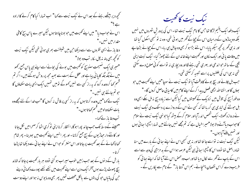کھچھ دیر بیٹھے رہنے کے بعد اس نے نیک نیت سے کہا" اب تہارا کیا کام کرنے کاارادہ  $\mathbb{F}$   $\cong$ اس نے حواب دیا" میں اپنے تھیت میں حو بوناچاہتا ہوں لیکن میرے پاس بیج کافی مقدار میں نہیں۔" دغا باز نے ایسی نظروں سے اسے دیکھا جن میں شیطنت بھری ہو ئی تھی لیکن نیک نیت کو محچه بھی پتہ نہ چل سکا، تبوہ بولا" "میری ایک نصیحت سدو بیج کو تھیت میں بونے کی بجائے اسے اپنے ہی یاس جمع رکھو میں نے جگہ جگہ کا پانی پباہے اور عقل کے بہت سے بھید مجھ پر روشن ہوگئے ہیں۔اگر تم قسم کھا کروعدہ کرو کہ بہ راز کسی سے نہیں کھوٹے نومیں تہیں ایک ایسی بات سکھاؤں گا حو تم جانتے ہی نہیں ۔" .<br>نیک نے کہا "میں وِعدہ کرتاہوں کہ یہ راز کسی پر فاش نہ کروں گا"اب *فد*ا کے لئے م<u>جھے</u> وہ يات سڪھادولوميں قسم ڪھاتا ہوں۔" تب دخا باز نے کہا۔ "مہینے کے وسط تک حب جاند پوراہوگا، انتظار کرنا اپنی ٹو کری اٹھا کرصحرامیں لکل جانا اور کانٹے دار حیاڑ یوں کے بیج جمع کرلانا۔اور پھر انہیں اپنے تھیت میں بودینا۔ پھر شام کھاناکھانے کے بعد کھیت پر جاتااور اس منتر کو حواس نے اپنے ہیا ئی سے دیکھا تھا پڑھا کر تا ۔ بارش کے دیوں کے بعد حب زمین حوب سیراب ہو گئی تووہ ہر بار کھیت پرجاتا کہ شائد بیچ پھوٹ پڑے ہوں آخرایک دن اسے اپنے کھیت میں ننھے ننھے بودے دکھائی دیئے حبن کی پتیاں حو کی پتوں سے بالکل مختلف تھیں پھر بھی وہ ما یوس نہ ہوااور اپنے دوست

نيك نيت كالحقيت

ا یک دفعہ ایک یتیم لڑکا تھا <sup>ج</sup>س کا نام نیک نیت تھا۔اس کی پرورشِ شہروں میں نہیں بلکہ دو پہاڑوں کے درمیان اس کے چچاکے گھر میں ہو ئی تھی۔وہ نہ تو کسجی اسکول گیا تھا اور نہ ہی گھر پر کحچہ سیکھ پایا۔اس لئے بڑا ہو کر بھی وہ جاہل ہی رہا۔اس کے چچانے بڑھاپے میں وفات یا ئی اور ایک مکان اور تھیت اپنے خاندان کے لئے جھوڑ گیا۔ نیک نیت اپنی چچی کے ساتھ حبواندھی اور بہری تھی رہنے لگا اور وہ بچاری نہ تو اسے کو ٹی صلاح دے سکتی تھی نہ ہی اس کی علطیوں پر اسے تنبیہ کرسکتی تھی۔ حب ہل چلانے اور بیچ بونے کاوقت آیا تو نیک نیت نے سوچا"میں اپنے کھیت میں حو بوؤں کا اور انشااللہ احیمی فصل پیدا کرکے اپنے کام میں کامیابی حاصل کروں گا۔" وہ فوراً بیج کی تلاش میں نزدیک کے تھیںتوں میں گیالیکن اسے زیادہ بیج نہ مل سکے ابھی وہ ہل حبوتنے کی تیاری ہی کررہا تھا کہ کسی نے اس کے دروازے پر دستک دی نیک نیت نے دروازہ کھولا۔ایک شخص اندرآیااور سلام کرکے بیٹھ گیاحونہی نیک نیت نے سلام کاحواب دیاآنے والا بولا "میراخیال ہے کہ تم مجھے نہیں جانتے میں تہارا چیچرا ہائی ہوں اور تہ<u>یں ملنے</u> آبا ہوں۔" لیکن نیک نیت نہ نواسے جا نتا تھااور نہ ہی کبھی اس نے اپنے ہعائی کے بارے میں سنا تھادراصل تھا نووہ اس کا جیچرا ہائی ہی لیکن عرصہ ہوااس کے بد مزاجی کی وجہ سے اسے اس کے باپ نے گھر سے لکال دیا تھااور اب وہ محض اس لئے آیا تھا کہ اپنے ہھائی کو فریب دے کراس نقصان پہنچائے۔ہم اس "دعا باز" کے نام سے پکاریں گے۔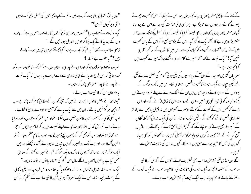"بیٹا یہ لوگ تہاری شکایت کررہے ہیں۔ تم نے اپنے کا نٹوں کی فصل جمع کرنے میں ا تنی دیر کیوں کردی؟" نیک نیت نے حواب دیا "خصور میں جلد ہی جمع کرلوں گا، بات دراصل یہ ہے کہ پندرہ دن کے بعد یہ کاننے یک یکا کر حومیں تبدیل ہوجائیں گے۔" قاصی صاحب نے کہا " یہ تم کیا یک رہے ہو؟ کیا کانٹے حومیں تبدیل ہونے والے بیں ؟" *کیامطلب ہے نتہ*ارا ؟ تب وہ نوحوان خوفز دہ ہو گیا اور اس نے پوری داستان اول سے آخر تک قاصی صاحب کو کھہ سنائی کہ کس طرح دعا باز نے اپنی مکاری سے اسے فریب دیا۔ یہاں کہ نیک نیت نے پورے کا پورامنتر بھی پڑھ کرسنادیا۔ یہ داستان سن کرقاصی صاحب بولے۔ " بیٹاخدا نے بعض قانون ایسے بنائے بیں کہ نیچر کوان کےمطابق کام کرنا پڑتاہے۔ یہ قوانین ہر گزنہیں بدلتے۔ان میں سےایک یہ ہے کہ آدمی حو بوتا ہے ،وہی کا ٹتا ہے ۔ اب کسی آدمی کے منتر سے بہ قا نون نہیں بدل سکتا - خواہ اس منتر کو ہزاروں دفعہ دہرایا جائے ۔اب تم اپنی کدال اٹھاؤاور جلدی سے اپنے تھیت میں جا کر تمام حیاڑیوں کو حِڑ سے اکھاڑ بچینکواور سب کو جمع کرکے بیجوں بیچ ڈھیبر لگادو۔ حب بہ کام ختم ہوجائے تو انہیں گ لگادو۔اور جب تک وہ ڈھیر را کھ میں تبدیل نہ ہوجائے ،گ نہ بجھنے دو۔میں ایک نو کر تہارے ساتھ بھیجوں گا تا کہ وہ دیکھ سکے کہ تم نے میرے کھنے کے مطابق عمل کیاہے یا نہیں ؟اور باں اگلے سال اس قسم کی احمقانہ یا توں پر توجہ نہ دینا۔" نیک نیت نهایت سی پیشمان ہوا،اسے دھو کا دیا گیا تھااور وہ اس فریب اوراپنی ناکامی کے ماعث رنجیدہ تھا۔اس نے ایک سمر د آہ بھری لیکن قاصی صاحب کے حکم کو لو کسی

کے کہنے کے مطابق منتر پڑھتا ہی ربا۔ کحچھ دینوں بعد اس نے دیکھا کہ اس کا کھیت چھوٹے چھوٹے کانٹے دار پودوں سے اٹا پڑاہے۔ بھر بھی اپنی حماقت کی وجہ سے اس نے پرواہ نہ کی اور منتتر پڑھناجاری رکھااور بہ بھی فیصلہ کرلیا کہ فیصلہ کرلیا کہ فصل پکنے تک وہ روزانہ منسر پڑھتا ہی رہے گا۔آخرا یک ماہ گزر گیا۔اس کے پڑوسی جمع ہو کراس کے پاس کھیت میں آئے اور کھا" تمہارے کھیت کو کیا ہو گیا ہے ،اس میں کا نٹوں کے سوانحچھ نظر ہی نہیں آیا؟" <sup>ن</sup>یک نیت نے کہا "ذراصبر سے **کام لو،اور دیکھتے جاؤ کہ میر**ے کھیت میں کیا کحچھ ہوتا ہے۔" سمردیاں گزریں اور سار کے دن آگے ، پڑوسیوں کی پکی ہو ٹی گندم کی فصل لہلہانے لگی ، لیے لیکن بیچارے نیک نیت کاٹھیت فصل سے خالی تھا۔اس میں رنگ برنگ کے پھولوں کے سواحو کانٹے دار حیاڑیوں میں ان کے خشک ہونے سے پہلے نمودار ہوتے ہیں پکنے والی اور کو ئی چیز تھی ہی نہیں۔اس کے دوست اس کامذاق اڑانے لگے۔اور اس ڈرسے کہ کہیں اس کے کھیت کے کانٹے دوسرے کھیںتوں میں نہ بھیل جائیں اسے جلد از جلد اپنی فصل کاٹنے کوکھنے لگے۔لیکن نیک نیت نے ان کی ایک نہ مانی آخر کار گاؤں کے نمبر دار جمع ہوئے اور سوچنے لگے کہ اگر ہم اس احمق لڑکے کو یہ کانئے دار حیاڑ پال جمع کرنے کے لئے مجبور نہ کریں تووہ ادھراُدھر پھیل کر ہمارے کھیتوں کو بھی برباد کردیں گی جس کا نتیجہ ہمارے حق میں براہوگا۔ کیوں نہ اس کی شکایت قاصی سے اگلے دن منڈی لگی توقاصی صاحب بھی تسثر پف لائے۔ گاؤں کے لوگ مل کر قاضی صاحب کے حصنور پہنیجے اور نیک نیت کی شکایت کی۔قاضی صاحب نے نیک نیت کے حاصر کئے جانے کا حکام دیا۔ حب نیک نیت آیا توقاصی صاحب بولے۔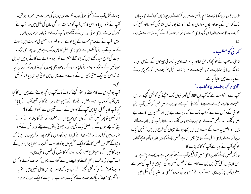پھوٹ لکلی،آپ نے دستمنی بو ئی اور وہ نفر ت اور حپوری کی صورت میں نمودار ہو گئی۔ آپ نے عرور بو یا اور اس کا بھل آپ کو حماقت اور نکمی شان کی شکل میں ملا۔ آپ نے گند کی اور نئے بازی بو ئی اور اس کے نتیجے میں آپ کو بے عز تی اور سٹرمساری اٹھانا پڑی۔آپ نے نےعدم محبت کے بیج بوئے اور وہ قہر اور دشمنی کی صورت میں پھوٹ گلے ۔اب آپ اپنی آنکھوں سے اپنی بری فصل کا پجل دیکھ رہے،میں اور پھر بھی نیک نیت کی طرح امید رکھتے ہیں کہ چند جملے منتر کے طور پر دہرانے سے کانٹے حومیں تبدیل ہوجائیں گے۔ نیک نیت اپنی لاپرواہی کے ماوحود بھی پودوں کی پتیاں دیکھ کرجان گیا تھا کہ اس کی نیک نیتی بھی اس کے بوئے ہوئے بیجوں میں کوئی تبدیلی پیدا نہ کرسکی آپ ہوشیاری سے کام کیجئے اور عور کیجئے کہ اب تک آپ حو کحچھ بوتے رہے ہیں اس کا کیا پھل آپ کوملتار باہے۔ بعض ریےْرٹائے مذہبی جملے دہر انے کا کیا نتیجہ آپ نے پایا؟<br>\* کیا**آپ کا یہ عمل د نیامیں آپ کے کاموں کے** برے نتیجوں سے محفوظ رکھے گا؟ اگر نہیں تو پھر فصل کیٹنے کے دن کس طرح ان سے محفوظ رکھ سکے گا جبکہ بوئے ہوئے بیج اگ چلے ہوں گے اور فصل یک چکی ہو گی۔ جھو ٹی با نوں سے بچئے اور دشمن کے مکرو فریب میں گرفتار نہ ہوجئے۔خدانے فرمایاہے(اور اس کا کلام پوراہو کر ہی رہتاہے ) کہ د نبا کے آخر میں فصل کاٹنے کاایک عظیم دن ہو گااور سب لوگ جیسا سِلا یا برا بو ئیں گے ویسا کاٹیں گے،اسی طرح جیسے نیک نیت کو کا نٹوں کی فصل کا نٹی پڑی۔ اب آپ اپنی حالت پر نظرِ ڈالئے اور اپنے دل سے گناہ کے بیجوں کوصاف کرنے کا کو ئی وسیلہ ڈھونڈنے کی کوشش کیجئے۔اگرآپ جیسا کہ ظاہر ہے اس قابل نہیں بیں۔ تو بہ خوشخبری سنیئے کہ پاک صاف ہونے کاایک وسیلہ ہے اور نجات کاایک دروازہ موحود

طرح ٹالاہی نہ جاسکتا تھا۔ لہذ ابجارالحصیت میں جا کر کاننے دار حیاڑیاں اکھاڑنے لگا۔ یہاں تک کہ اس کے باتھ اور یاؤں لہولہان ہوگئے ۔ کانٹے بوناآسان تھالیکن کھود نا اور جمع کرنا نگلیف وہ ثابت ہوااور اس کی ساری محنت کا شر صرف را کھ کے ایک ڈھیر سے زیادہ نہ

کہا ٹی کامطلب ۔ قاصی صاحب نے حو تھچھ کھاحق تھااور بہ صرف مادی یا حسمانی حبیروں کے لئے ہی حق نہ تھا بلکہ روحا فی اعتیار سے بھی حقیقت سے لبریز تھا۔ پائبل سٹریف میں گناہ کا بیج بونے کے بارے میں بتایا گیاہے۔ "ا<sub>ک</sub>ی حو تحچھ بوتاہے وہی کا ٹتاہے -"

۔<br> اَپ سے در خواست ہے کہ اَپ اِن الفاظ کی گَہر اسّیوں تک پہنچنے کی کوشش کیجئے اور اس حقیقت کا اپنے تجربے سےمقابلہ کیجئے تاکہ آپ بھلے اور برے میں تمیز کرسکیں آپ اپنی حبوا فی کے دیوں سے لے کر اب تک کے گناہ بوتے رہے ہیں اور تقصیریں اگاتے رہے بیں ، کتنے برے فعل آپ نے انجام دیئے بیں اور کتنے برے الفاظ آپ کی زبان سے لکلے بیں ۔ دراصل یہ سب کے سب زمین میں چھپے ہوئے بیجوں کی طرح بیں یقیناً انہیں ایک دن اگناہے اورا بنی اصل کے مطابق پھل لاناہے فصل کاٹنے کا دن جلد ہی آن بہنیے گا اور حوکھچھ آپ نے بوباہے آپ کو کاٹنا پڑے گا۔

حالانکہ فصل کاٹنے کا دن ابھی نہیں آیالیکن آپ نے حو کحچھ بو باہے وہ پھوٹ پڑاہے اور اس کا پتیاں نکل آئی بیں حن سے ظاہر ہے کہ فصل کیسی ہو گی۔ تیاہی حوآپ کی سمزاہے پہلے ہی آپ پر آن پڑی ہے ۔ آپ نے سستی بو ٹی،اور وہ مفلسی اور احتساج کی شکل میں